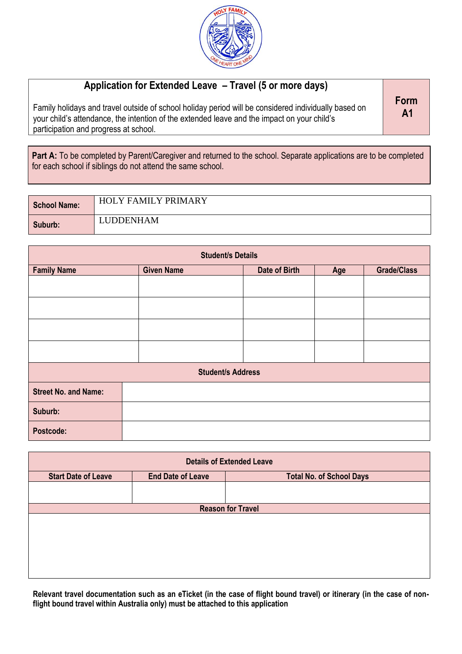

## **Application for Extended Leave – Travel (5 or more days)**

Family holidays and travel outside of school holiday period will be considered individually based on your child's attendance, the intention of the extended leave and the impact on your child's participation and progress at school.

**Form A1**

Part A: To be completed by Parent/Caregiver and returned to the school. Separate applications are to be completed for each school if siblings do not attend the same school.

| School Name: | <b>HOLY FAMILY PRIMARY</b> |
|--------------|----------------------------|
| Suburb:      | LUDDENHAM                  |

| <b>Student/s Details</b>    |                          |               |  |                    |
|-----------------------------|--------------------------|---------------|--|--------------------|
| <b>Family Name</b>          | <b>Given Name</b>        | Date of Birth |  | <b>Grade/Class</b> |
|                             |                          |               |  |                    |
|                             |                          |               |  |                    |
|                             |                          |               |  |                    |
|                             |                          |               |  |                    |
|                             | <b>Student/s Address</b> |               |  |                    |
| <b>Street No. and Name:</b> |                          |               |  |                    |
| Suburb:                     |                          |               |  |                    |
| Postcode:                   |                          |               |  |                    |

|                            |                          | <b>Details of Extended Leave</b> |  |
|----------------------------|--------------------------|----------------------------------|--|
| <b>Start Date of Leave</b> | <b>End Date of Leave</b> | <b>Total No. of School Days</b>  |  |
|                            |                          |                                  |  |
| <b>Reason for Travel</b>   |                          |                                  |  |
|                            |                          |                                  |  |
|                            |                          |                                  |  |
|                            |                          |                                  |  |
|                            |                          |                                  |  |
|                            |                          |                                  |  |
|                            |                          |                                  |  |

**Relevant travel documentation such as an eTicket (in the case of flight bound travel) or itinerary (in the case of nonflight bound travel within Australia only) must be attached to this application**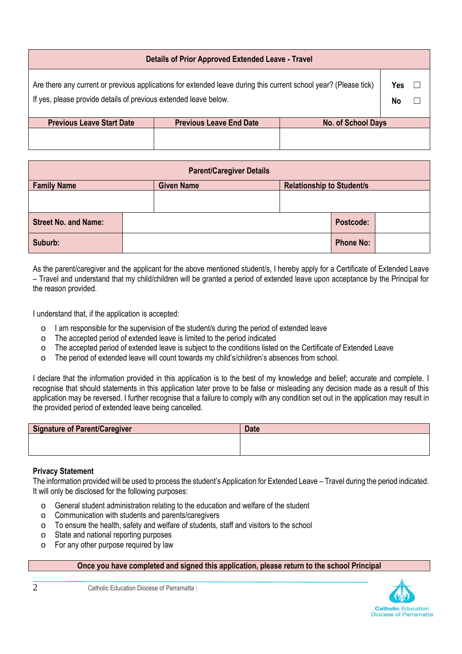| <b>Details of Prior Approved Extended Leave - Travel</b>                                                                                                                             |                                |                    |           |  |
|--------------------------------------------------------------------------------------------------------------------------------------------------------------------------------------|--------------------------------|--------------------|-----------|--|
| Are there any current or previous applications for extended leave during this current school year? (Please tick)<br>If yes, please provide details of previous extended leave below. |                                |                    | Yes<br>No |  |
| <b>Previous Leave Start Date</b>                                                                                                                                                     | <b>Previous Leave End Date</b> | No. of School Days |           |  |
|                                                                                                                                                                                      |                                |                    |           |  |

| <b>Parent/Caregiver Details</b> |  |                   |  |                                  |                  |  |
|---------------------------------|--|-------------------|--|----------------------------------|------------------|--|
| <b>Family Name</b>              |  | <b>Given Name</b> |  | <b>Relationship to Student/s</b> |                  |  |
|                                 |  |                   |  |                                  |                  |  |
| <b>Street No. and Name:</b>     |  |                   |  |                                  | Postcode:        |  |
| Suburb:                         |  |                   |  |                                  | <b>Phone No:</b> |  |

As the parent/caregiver and the applicant for the above mentioned student/s, I hereby apply for a Certificate of Extended Leave – Travel and understand that my child/children will be granted a period of extended leave upon acceptance by the Principal for the reason provided.

I understand that, if the application is accepted:

- o I am responsible for the supervision of the student/s during the period of extended leave
- o The accepted period of extended leave is limited to the period indicated
- o The accepted period of extended leave is subject to the conditions listed on the Certificate of Extended Leave
- o The period of extended leave will count towards my child's/children's absences from school.

I declare that the information provided in this application is to the best of my knowledge and belief; accurate and complete. I recognise that should statements in this application later prove to be false or misleading any decision made as a result of this application may be reversed. I further recognise that a failure to comply with any condition set out in the application may result in the provided period of extended leave being cancelled.

| Signature of Parent/Caregiver | <b>Date</b> |
|-------------------------------|-------------|
|                               |             |
|                               |             |

## **Privacy Statement**

The information provided will be used to process the student's Application for Extended Leave – Travel during the period indicated. It will only be disclosed for the following purposes:

- o General student administration relating to the education and welfare of the student
- o Communication with students and parents/caregivers
- o To ensure the health, safety and welfare of students, staff and visitors to the school
- o State and national reporting purposes
- o For any other purpose required by law

## **Once you have completed and signed this application, please return to the school Principal**